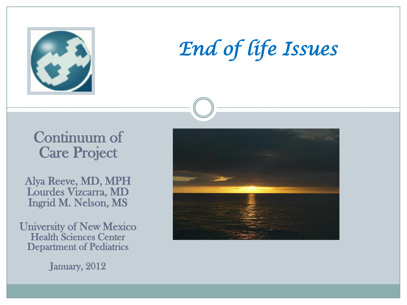

# *End of life Issues*

#### Continuum of Care Project

Alya Reeve, MD, MPH Lourdes Vizcarra, MD Ingrid M. Nelson, MS

University of New Mexico Health Sciences Center Department of Pediatrics

January, 2012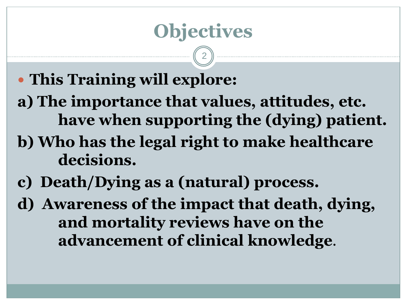## **Objectives**

- **This Training will explore:**
- **a) The importance that values, attitudes, etc. have when supporting the (dying) patient.**
- **b) Who has the legal right to make healthcare decisions.**
- **c) Death/Dying as a (natural) process.**
- **d) Awareness of the impact that death, dying, and mortality reviews have on the advancement of clinical knowledge**.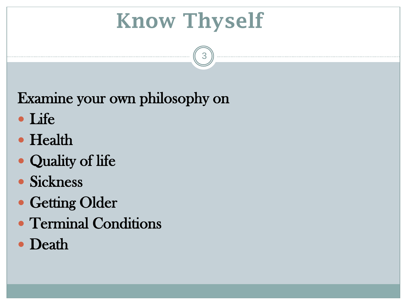# **Know Thyself**

3

Examine your own philosophy on

- Life
- Health
- Quality of life
- Sickness
- Getting Older
- Terminal Conditions
- Death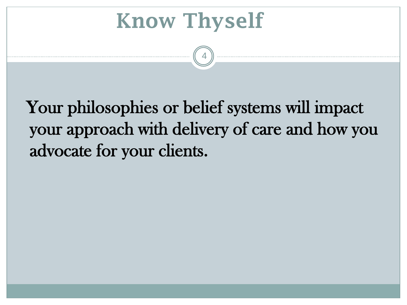**Know Thyself**

 Your philosophies or belief systems will impact your approach with delivery of care and how you advocate for your clients.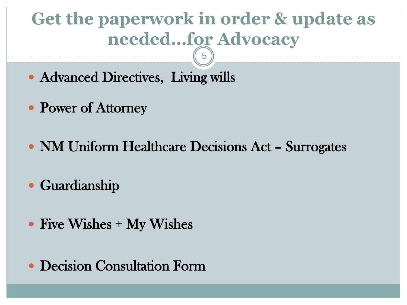## **Get the paperwork in order & update as needed…for Advocacy**

- Advanced Directives, Living wills
- Power of Attorney
- NM Uniform Healthcare Decisions Act Surrogates
- Guardianship
- Five Wishes + My Wishes
- Decision Consultation Form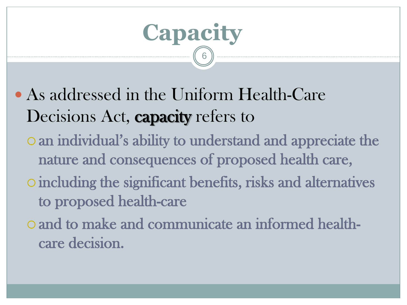

- As addressed in the Uniform Health-Care Decisions Act, **capacity** refers to
	- an individual's ability to understand and appreciate the nature and consequences of proposed health care,
	- including the significant benefits, risks and alternatives to proposed health-care
	- o and to make and communicate an informed healthcare decision.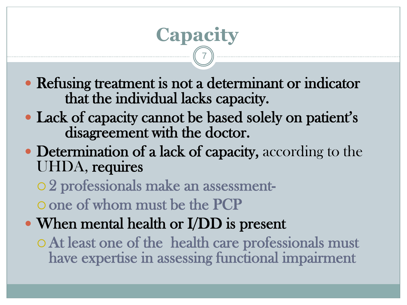#### Refusing treatment is not a determinant or indicator that the individual lacks capacity.

**Capacity** 

- Lack of capacity cannot be based solely on patient's disagreement with the doctor.
- Determination of a lack of capacity, according to the UHDA, requires
	- 2 professionals make an assessment-
	- one of whom must be the PCP
- When mental health or I/DD is present
	- At least one of the health care professionals must have expertise in assessing functional impairment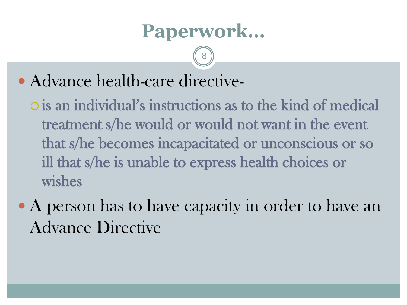### **Paperwork…**

8

Advance health-care directive-

 is an individual's instructions as to the kind of medical treatment s/he would or would not want in the event that s/he becomes incapacitated or unconscious or so ill that s/he is unable to express health choices or wishes

• A person has to have capacity in order to have an Advance Directive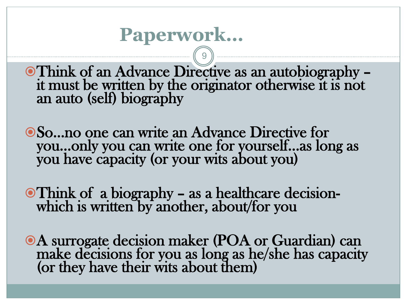### **Paperwork…**

Think of an Advance Directive as an autobiography – it must be written by the originator otherwise it is not an auto (self) biography

9

So…no one can write an Advance Directive for you…only you can write one for yourself…as long as you have capacity (or your wits about you)

Think of a biography – as a healthcare decisionwhich is written by another, about/for you

A surrogate decision maker (POA or Guardian) can make decisions for you as long as he/she has capacity (or they have their wits about them)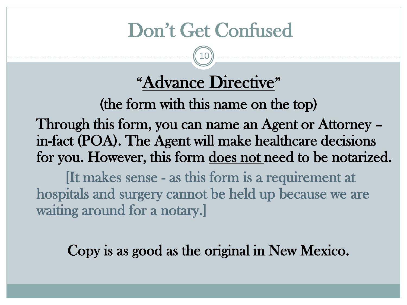## Don't Get Confused

10

## "Advance Directive"

(the form with this name on the top)

 Through this form, you can name an Agent or Attorney – in-fact (POA). The Agent will make healthcare decisions for you. However, this form does not need to be notarized.

 [It makes sense - as this form is a requirement at hospitals and surgery cannot be held up because we are waiting around for a notary.]

Copy is as good as the original in New Mexico.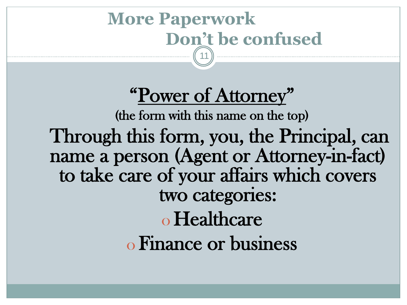#### **More Paperwork Don't be confused** 11

"Power of Attorney" (the form with this name on the top) Through this form, you, the Principal, can name a person (Agent or Attorney-in-fact) to take care of your affairs which covers two categories: o Healthcare o Finance or business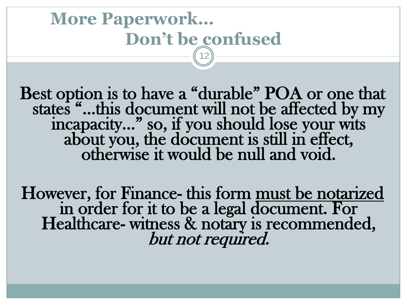#### **More Paperwork… Don't be confused** 12

Best option is to have a "durable" POA or one that states "…this document will not be affected by my incapacity…" so, if you should lose your wits about you, the document is still in effect, otherwise it would be null and void.

However, for Finance- this form must be notarized in order for it to be a legal document. For Healthcare- witness & notary is recommended, but not required.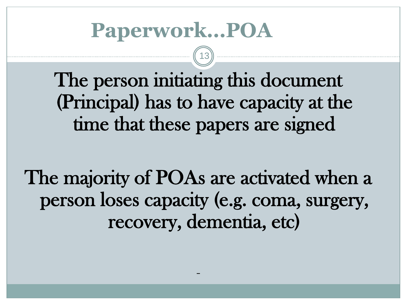# **Paperwork…POA**

The person initiating this document (Principal) has to have capacity at the time that these papers are signed

13

The majority of POAs are activated when a person loses capacity (e.g. coma, surgery, recovery, dementia, etc)

–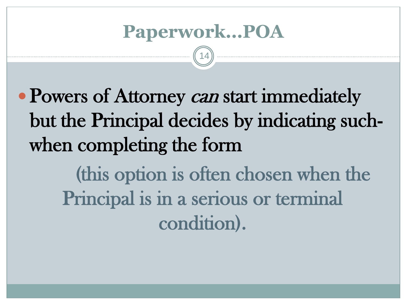### **Paperwork…POA**

14

• Powers of Attorney *can* start immediately but the Principal decides by indicating suchwhen completing the form (this option is often chosen when the Principal is in a serious or terminal

condition).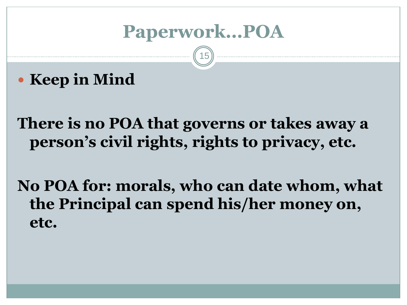### **Paperwork…POA**

15

**Keep in Mind**

**There is no POA that governs or takes away a person's civil rights, rights to privacy, etc.**

**No POA for: morals, who can date whom, what the Principal can spend his/her money on, etc.**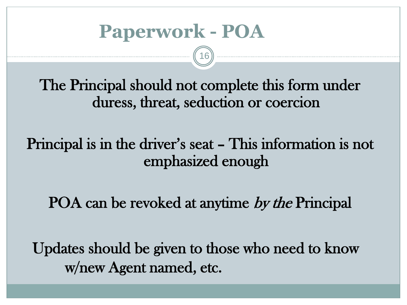The Principal should not complete this form under duress, threat, seduction or coercion

16

Principal is in the driver's seat – This information is not emphasized enough

POA can be revoked at anytime by the Principal

 Updates should be given to those who need to know w/new Agent named, etc.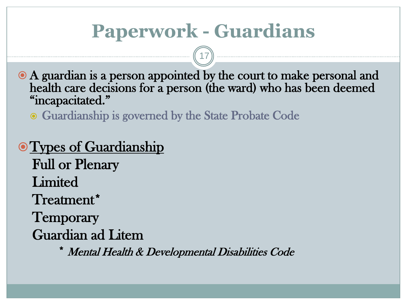## **Paperwork - Guardians**

17

 A guardian is a person appointed by the court to make personal and health care decisions for a person (the ward) who has been deemed "incapacitated."

• Guardianship is governed by the State Probate Code

**• Types of Guardianship**  Full or Plenary **Limited**  Treatment\* Temporary Guardian ad Litem

\* Mental Health & Developmental Disabilities Code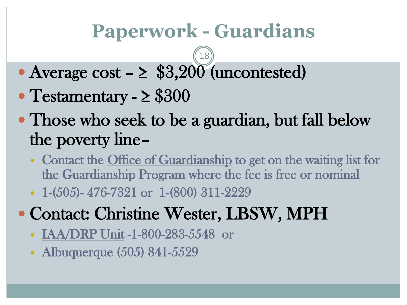## **Paperwork - Guardians**

- Average cost  $\geq$  \$3,200 (uncontested)
- Testamentary ≥ \$300
- Those who seek to be a guardian, but fall below the poverty line–
	- Contact the Office of Guardianship to get on the waiting list for the Guardianship Program where the fee is free or nominal
	- 1-(505)-476-7321 or 1-(800) 311-2229
- Contact: Christine Wester, LBSW, MPH
	- IAA/DRP Unit -1-800-283-5548 or
	- Albuquerque (505) 841-5529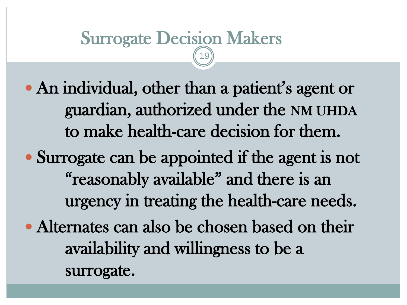#### Surrogate Decision Makers 19

- An individual, other than a patient's agent or guardian, authorized under the NM UHDA to make health-care decision for them.
- Surrogate can be appointed if the agent is not "reasonably available" and there is an urgency in treating the health-care needs.
- Alternates can also be chosen based on their availability and willingness to be a surrogate.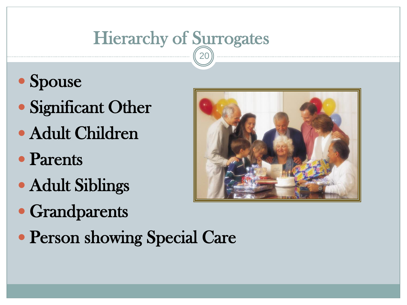# Hierarchy of Surrogates

- Spouse
- Significant Other
- Adult Children
- Parents
- Adult Siblings
- Grandparents
- Person showing Special Care

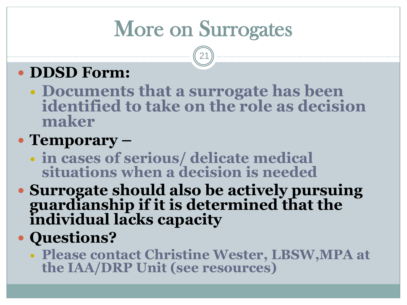# More on Surrogates

21

### **• DDSD Form:**

 **Documents that a surrogate has been identified to take on the role as decision maker**

#### **Temporary –**

- **in cases of serious/ delicate medical situations when a decision is needed**
- **Surrogate should also be actively pursuing guardianship if it is determined that the individual lacks capacity**

#### **Questions?**

 **Please contact Christine Wester, LBSW,MPA at the IAA/DRP Unit (see resources)**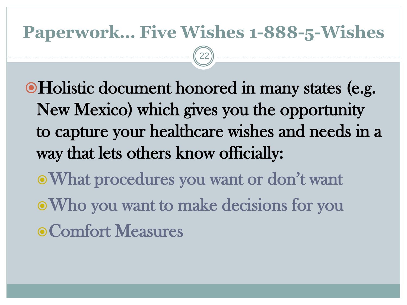### **Paperwork… Five Wishes 1-888-5-Wishes**

22

Holistic document honored in many states (e.g. New Mexico) which gives you the opportunity to capture your healthcare wishes and needs in a way that lets others know officially:

What procedures you want or don't want Who you want to make decisions for you Comfort Measures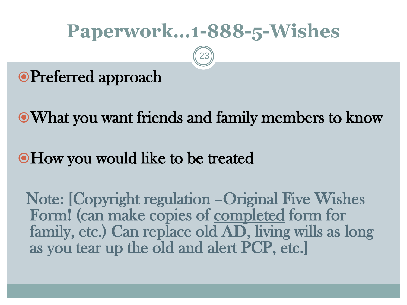## **Paperwork…1-888-5-Wishes**

23

### **OPreferred approach**

What you want friends and family members to know

#### How you would like to be treated

 Note: [Copyright regulation –Original Five Wishes Form! (can make copies of completed form for family, etc.) Can replace old AD, living wills as long as you tear up the old and alert PCP, etc.]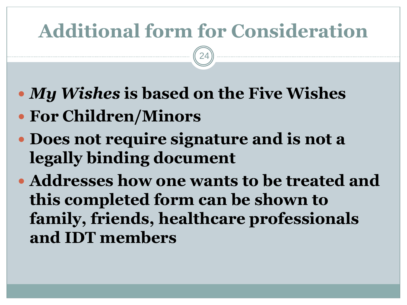# **Additional form for Consideration**

- *My Wishes* **is based on the Five Wishes**
- **For Children/Minors**
- **Does not require signature and is not a legally binding document**
- **Addresses how one wants to be treated and this completed form can be shown to family, friends, healthcare professionals and IDT members**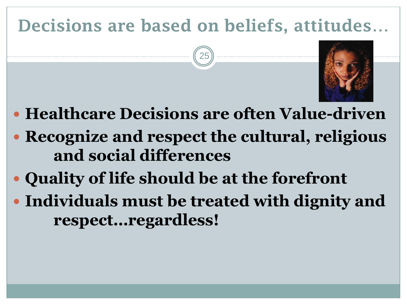## **Decisions are based on beliefs, attitudes**…



- **Healthcare Decisions are often Value-driven**
- **Recognize and respect the cultural, religious and social differences**
- **Quality of life should be at the forefront**
- **Individuals must be treated with dignity and respect…regardless!**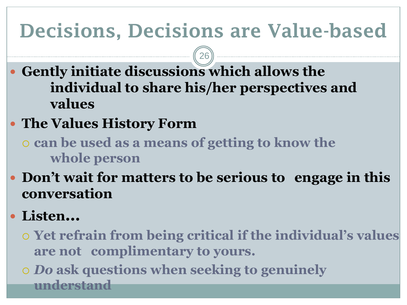# **Decisions, Decisions are Value-based**

- **Gently initiate discussions which allows the individual to share his/her perspectives and values**
- **The Values History Form**
	- **can be used as a means of getting to know the whole person**
- **Don't wait for matters to be serious to engage in this conversation**
- **Listen…**
	- **Yet refrain from being critical if the individual's values are not complimentary to yours.**
	- *Do* **ask questions when seeking to genuinely understand**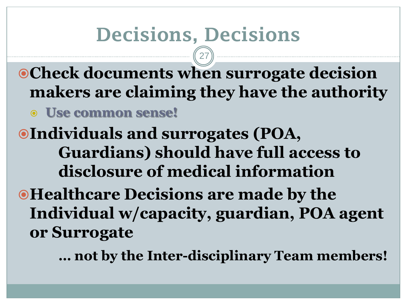# **Decisions, Decisions**

**Check documents when surrogate decision makers are claiming they have the authority Use common sense!**

27

**Individuals and surrogates (POA, Guardians) should have full access to disclosure of medical information**

 $\bullet$  **Healthcare Decisions are made by the Individual w/capacity, guardian, POA agent or Surrogate**

**… not by the Inter-disciplinary Team members!**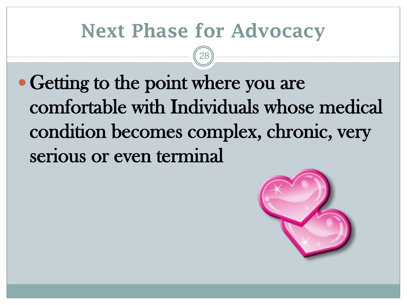## **Next Phase for Advocacy**

28

• Getting to the point where you are comfortable with Individuals whose medical condition becomes complex, chronic, very serious or even terminal

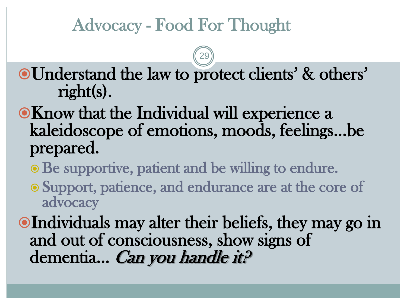### Advocacy - Food For Thought

Understand the law to protect clients' & others' right(s).

- Know that the Individual will experience a kaleidoscope of emotions, moods, feelings…be prepared.
	- Be supportive, patient and be willing to endure.
	- Support, patience, and endurance are at the core of advocacy
- Individuals may alter their beliefs, they may go in and out of consciousness, show signs of dementia... *Can you handle it?*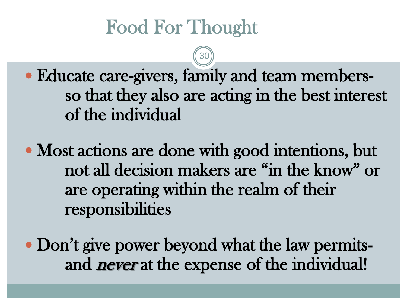# Food For Thought

 Educate care-givers, family and team members so that they also are acting in the best interest of the individual

30

• Most actions are done with good intentions, but not all decision makers are "in the know" or are operating within the realm of their responsibilities

• Don't give power beyond what the law permitsand *never* at the expense of the individual!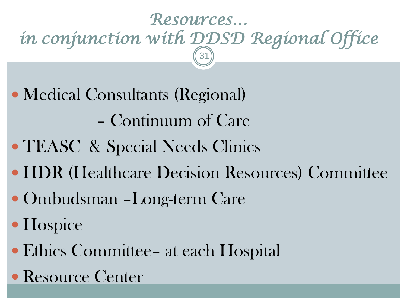#### *Resources… in conjunction with DDSD Regional Office*  31

- Medical Consultants (Regional) – Continuum of Care
- TEASC & Special Needs Clinics
- HDR (Healthcare Decision Resources) Committee
- Ombudsman –Long-term Care
- Hospice
- Ethics Committee– at each Hospital
- Resource Center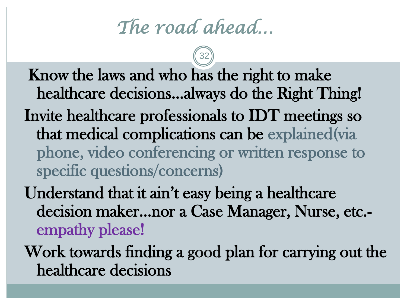*The road ahead…* 

Know the laws and who has the right to make healthcare decisions…always do the Right Thing! Invite healthcare professionals to IDT meetings so that medical complications can be explained(via phone, video conferencing or written response to specific questions/concerns)

Understand that it ain't easy being a healthcare decision maker…nor a Case Manager, Nurse, etc. empathy please!

Work towards finding a good plan for carrying out the healthcare decisions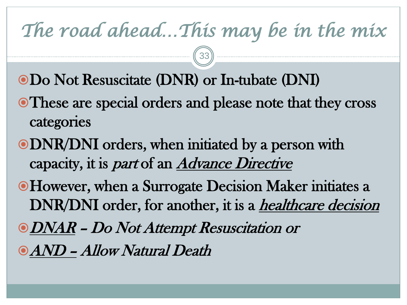# *The road ahead…This may be in the mix*

- Do Not Resuscitate (DNR) or In-tubate (DNI)
- These are special orders and please note that they cross categories
- DNR/DNI orders, when initiated by a person with capacity, it is *part* of an *Advance Directive*
- However, when a Surrogate Decision Maker initiates a DNR/DNI order, for another, it is a *healthcare decision*
- DNAR Do Not Attempt Resuscitation or
- AND Allow Natural Death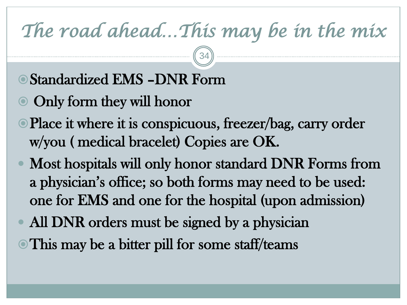# *The road ahead…This may be in the mix*

- Standardized EMS –DNR Form
- Only form they will honor
- Place it where it is conspicuous, freezer/bag, carry order w/you ( medical bracelet) Copies are OK.
- Most hospitals will only honor standard DNR Forms from a physician's office; so both forms may need to be used: one for EMS and one for the hospital (upon admission)
- All DNR orders must be signed by a physician
- This may be a bitter pill for some staff/teams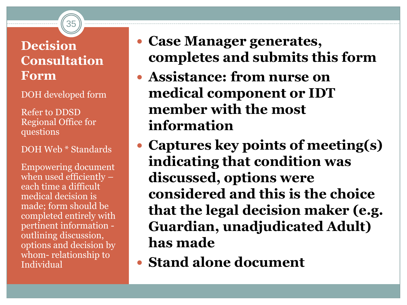#### **Decision Consultation Form**

35

DOH developed form

Refer to DDSD Regional Office for questions

DOH Web \* Standards

Empowering document when used efficiently – each time a difficult medical decision is made; form should be completed entirely with pertinent information outlining discussion, options and decision by whom- relationship to Individual

- **Case Manager generates, completes and submits this form**
- **Assistance: from nurse on medical component or IDT member with the most information**
- **Captures key points of meeting(s) indicating that condition was discussed, options were considered and this is the choice that the legal decision maker (e.g. Guardian, unadjudicated Adult) has made**
- **Stand alone document**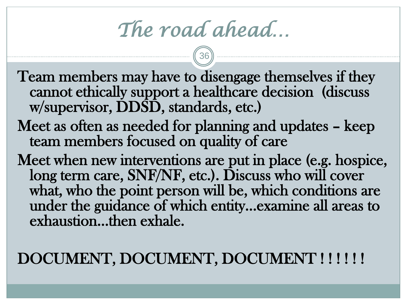*The road ahead…*

Team members may have to disengage themselves if they cannot ethically support a healthcare decision (discuss w/supervisor, DDSD, standards, etc.)

- Meet as often as needed for planning and updates keep team members focused on quality of care
- Meet when new interventions are put in place (e.g. hospice, long term care, SNF/NF, etc.). Discuss who will cover what, who the point person will be, which conditions are under the guidance of which entity…examine all areas to exhaustion…then exhale.

#### DOCUMENT, DOCUMENT, DOCUMENT ! ! ! ! ! !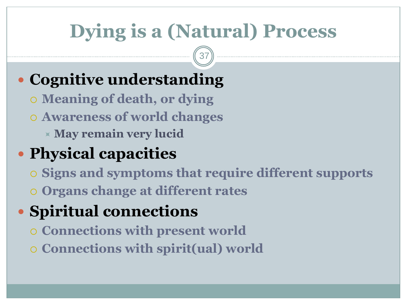# **Dying is a (Natural) Process**

37

### **Cognitive understanding**

- **Meaning of death, or dying**
- **Awareness of world changes**
	- **May remain very lucid**

### **Physical capacities**

- **Signs and symptoms that require different supports**
- **Organs change at different rates**

## **Spiritual connections**

- **Connections with present world**
- **Connections with spirit(ual) world**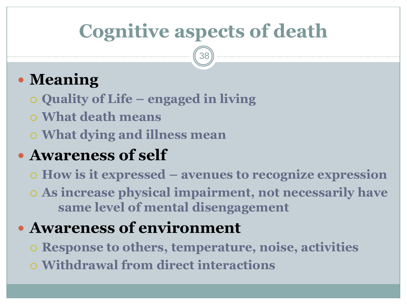# **Cognitive aspects of death**

38

### **Meaning**

- **Quality of Life – engaged in living**
- **What death means**
- **What dying and illness mean**

#### **Awareness of self**

- **How is it expressed – avenues to recognize expression**
- **As increase physical impairment, not necessarily have same level of mental disengagement**

#### **Awareness of environment**

- **Response to others, temperature, noise, activities**
- **Withdrawal from direct interactions**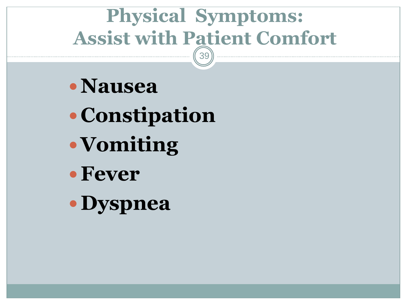#### **Physical Symptoms: Assist with Patient Comfort** 39

- **Nausea**
- **Constipation**
- **Vomiting**
- **Fever**
- **Dyspnea**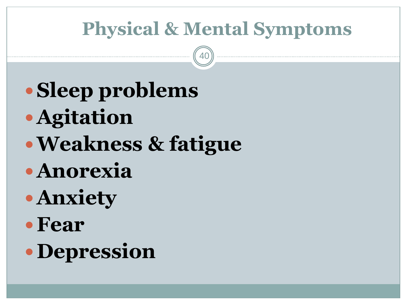# **Physical & Mental Symptoms**

- **Sleep problems**
- **Agitation**
- **Weakness & fatigue**
- **Anorexia**
- **Anxiety**
- **Fear**
- **Depression**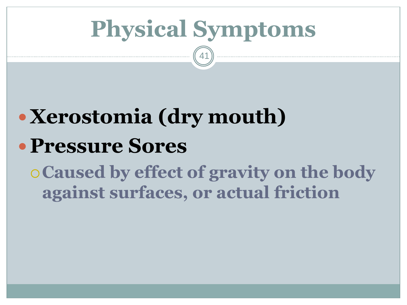# **Physical Symptoms**

41

# **Xerostomia (dry mouth) Pressure Sores**

## **Caused by effect of gravity on the body against surfaces, or actual friction**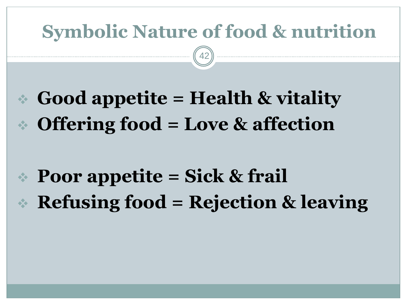## **Symbolic Nature of food & nutrition**

42

# **Good appetite = Health & vitality Offering food = Love & affection**

# **Poor appetite = Sick & frail Refusing food = Rejection & leaving**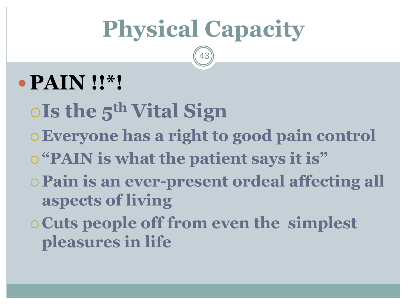# **Physical Capacity**

43

# **PAIN !!\*!**

**Is the 5th Vital Sign Everyone has a right to good pain control "PAIN is what the patient says it is" Pain is an ever-present ordeal affecting all aspects of living Cuts people off from even the simplest pleasures in life**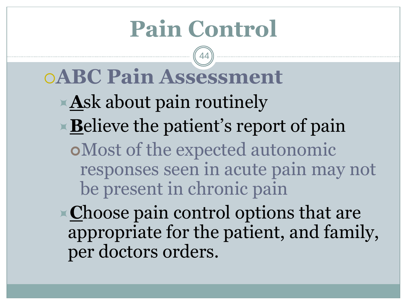# **Pain Control**

44

# **ABC Pain Assessment**

- **A**sk about pain routinely
- **Believe the patient's report of pain**

Most of the expected autonomic responses seen in acute pain may not be present in chronic pain

**Choose pain control options that are** appropriate for the patient, and family, per doctors orders.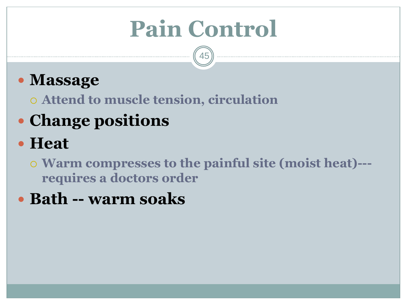# **Pain Control**

45

### **Massage**

**Attend to muscle tension, circulation** 

### **Change positions**

### **Heat**

 **Warm compresses to the painful site (moist heat)-- requires a doctors order**

#### **Bath -- warm soaks**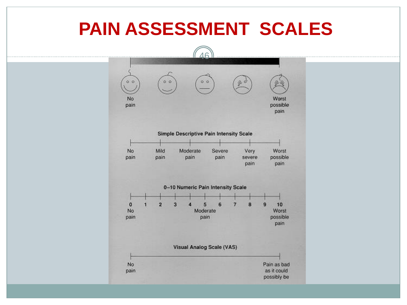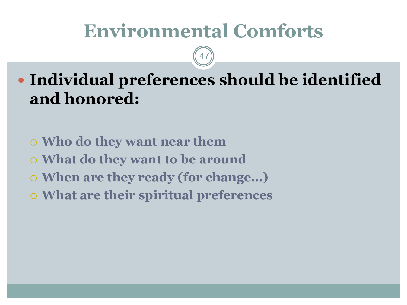## **Environmental Comforts**

47

 **Individual preferences should be identified and honored:**

 **Who do they want near them What do they want to be around When are they ready (for change…) What are their spiritual preferences**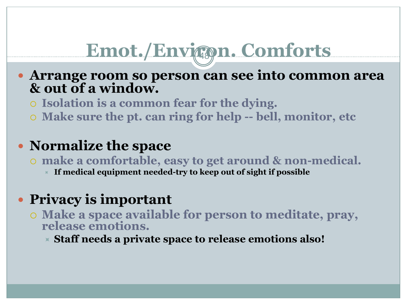# Emot./Environ. Comforts

- **Arrange room so person can see into common area & out of a window.** 
	- **Isolation is a common fear for the dying.**
	- **Make sure the pt. can ring for help -- bell, monitor, etc**

#### **Normalize the space**

- **make a comfortable, easy to get around & non-medical.** 
	- **If medical equipment needed-try to keep out of sight if possible**

#### **Privacy is important**

- **Make a space available for person to meditate, pray, release emotions.**
	- **Staff needs a private space to release emotions also!**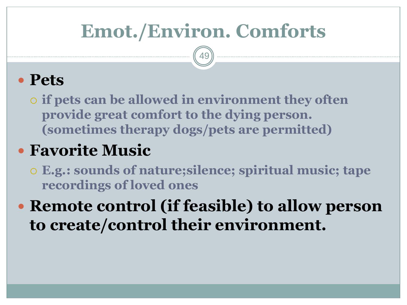# **Emot./Environ. Comforts**

49

#### **Pets**

 **if pets can be allowed in environment they often provide great comfort to the dying person. (sometimes therapy dogs/pets are permitted)**

### **Favorite Music**

 **E.g.: sounds of nature;silence; spiritual music; tape recordings of loved ones** 

### **Remote control (if feasible) to allow person to create/control their environment.**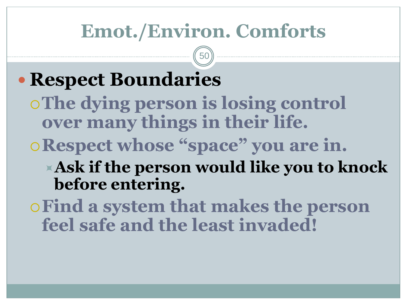## **Emot./Environ. Comforts**

50

## **• Respect Boundaries The dying person is losing control over many things in their life. Respect whose "space" you are in. Ask if the person would like you to knock before entering. Find a system that makes the person**

**feel safe and the least invaded!**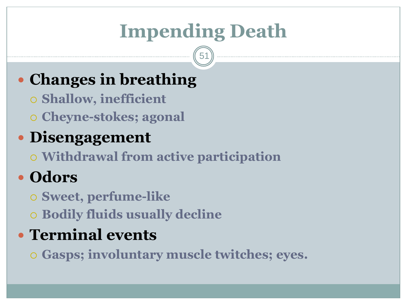# **Impending Death**

51

### **Changes in breathing**

- **Shallow, inefficient**
- **Cheyne-stokes; agonal**
- **Disengagement**
	- **Withdrawal from active participation**
- **Odors**
	- **Sweet, perfume-like**
	- **Bodily fluids usually decline**

### **Terminal events**

**Gasps; involuntary muscle twitches; eyes.**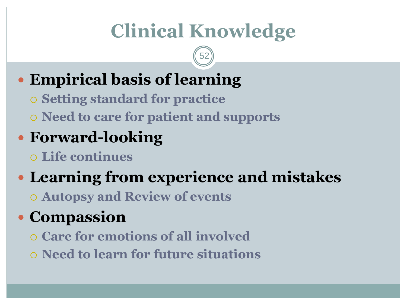# **Clinical Knowledge**

52

## **Empirical basis of learning**

- **Setting standard for practice**
- **Need to care for patient and supports**
- **Forward-looking**
	- **Life continues**

### **Learning from experience and mistakes Autopsy and Review of events**

### **Compassion**

- **Care for emotions of all involved**
- **Need to learn for future situations**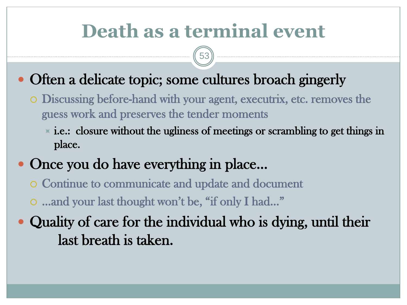## **Death as a terminal event**

- Often a delicate topic; some cultures broach gingerly
	- Discussing before-hand with your agent, executrix, etc. removes the guess work and preserves the tender moments
		- $\overline{\phantom{a}}$  i.e.: closure without the ugliness of meetings or scrambling to get things in place.
- Once you do have everything in place…
	- Continue to communicate and update and document
	- …and your last thought won't be, "if only I had…"
- Quality of care for the individual who is dying, until their last breath is taken.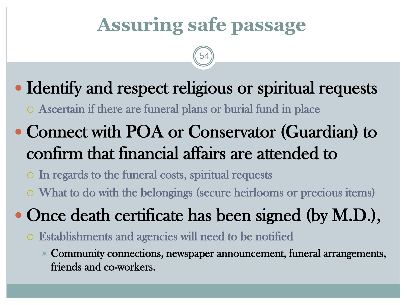# **Assuring safe passage**

54



Ascertain if there are funeral plans or burial fund in place

• Connect with POA or Conservator (Guardian) to confirm that financial affairs are attended to

 In regards to the funeral costs, spiritual requests What to do with the belongings (secure heirlooms or precious items)

- Once death certificate has been signed (by M.D.),
	- Establishments and agencies will need to be notified
		- $\times$  Community connections, newspaper announcement, funeral arrangements, friends and co-workers.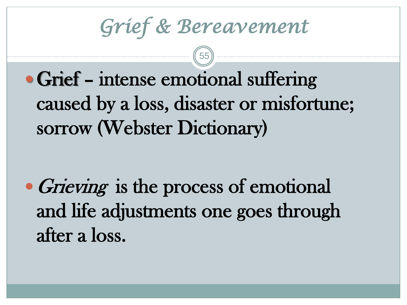*Grief & Bereavement* 

• Grief – intense emotional suffering caused by a loss, disaster or misfortune; sorrow (Webster Dictionary)

• Grieving is the process of emotional and life adjustments one goes through after a loss.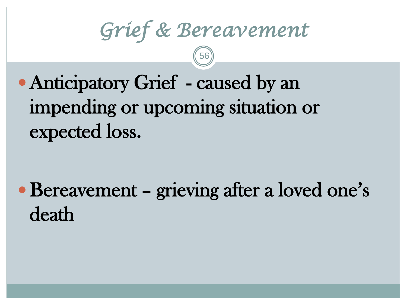*Grief & Bereavement*

# • Anticipatory Grief - caused by an impending or upcoming situation or expected loss.

Bereavement – grieving after a loved one's death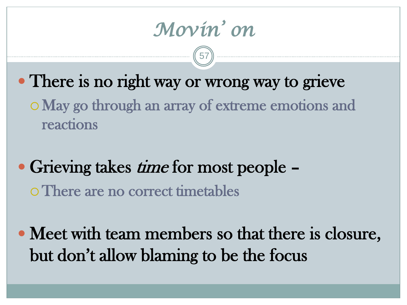*Movin' on* 

• There is no right way or wrong way to grieve

May go through an array of extreme emotions and reactions

Grieving takes *time* for most people  $-$ There are no correct timetables

 Meet with team members so that there is closure, but don't allow blaming to be the focus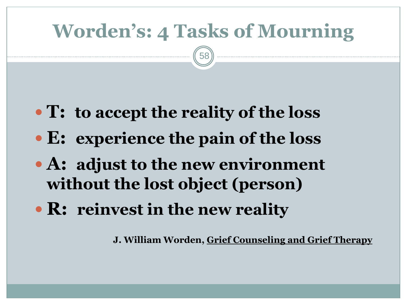# **Worden's: 4 Tasks of Mourning**

58

- **T: to accept the reality of the loss**
- **E: experience the pain of the loss**
- **A: adjust to the new environment without the lost object (person)**
- **R: reinvest in the new reality**

**J. William Worden, Grief Counseling and Grief Therapy**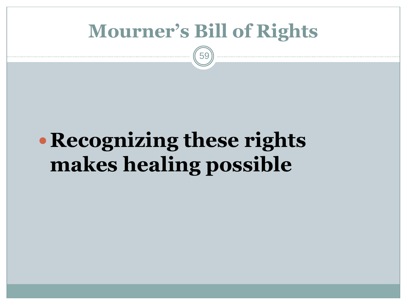### **Mourner's Bill of Rights**

59

# **Recognizing these rights makes healing possible**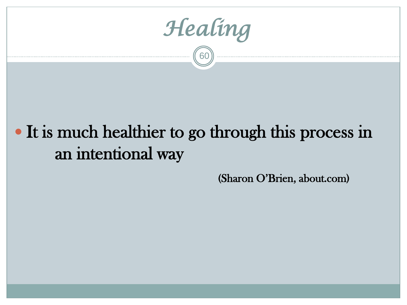*Healing* 

# • It is much healthier to go through this process in an intentional way

(Sharon O'Brien, about.com)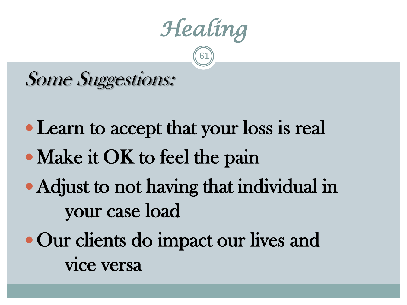*Healing*

### Some Suggestions:

- Learn to accept that your loss is real
- Make it OK to feel the pain
- Adjust to not having that individual in your case load
- Our clients do impact our lives and vice versa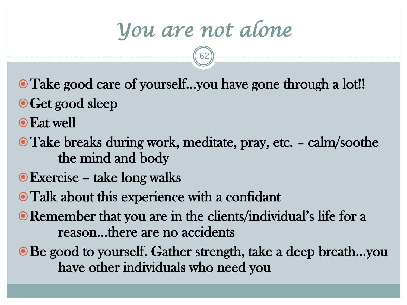*You are not alone*

- Take good care of yourself…you have gone through a lot!!
- O Get good sleep
- Eat well
- Take breaks during work, meditate, pray, etc. calm/soothe the mind and body
- Exercise take long walks
- Talk about this experience with a confidant
- Remember that you are in the clients/individual's life for a reason…there are no accidents
- Be good to yourself. Gather strength, take a deep breath...you have other individuals who need you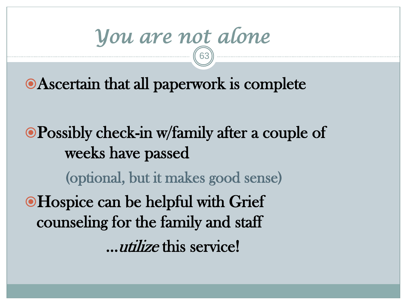#### *You are not alone*  63

Ascertain that all paperwork is complete

Possibly check-in w/family after a couple of weeks have passed (optional, but it makes good sense) Hospice can be helpful with Grief counseling for the family and staff …utilize this service!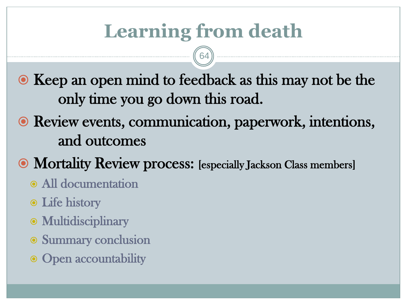# **Learning from death**

64

• Keep an open mind to feedback as this may not be the only time you go down this road.

- Review events, communication, paperwork, intentions, and outcomes
- Mortality Review process: [especially Jackson Class members]
	- All documentation
	- Life history
	- Multidisciplinary
	- Summary conclusion
	- Open accountability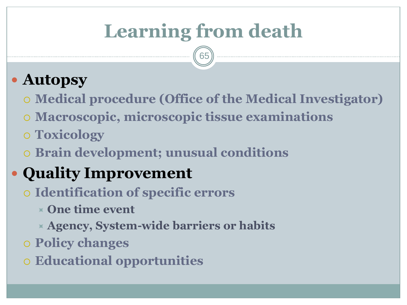# **Learning from death**

65

### **Autopsy**

- **Medical procedure (Office of the Medical Investigator)**
- **Macroscopic, microscopic tissue examinations**
- **Toxicology**
- **Brain development; unusual conditions**

### **Quality Improvement**

- **Identification of specific errors** 
	- **One time event**
	- **Agency, System-wide barriers or habits**
- **Policy changes**
- **Educational opportunities**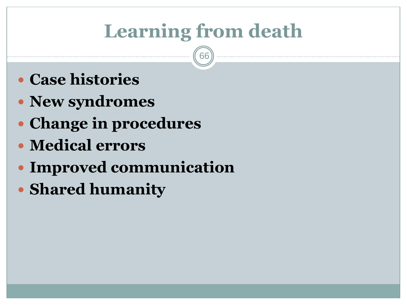# **Learning from death**

- **Case histories**
- **New syndromes**
- **Change in procedures**
- **Medical errors**
- **Improved communication**
- **Shared humanity**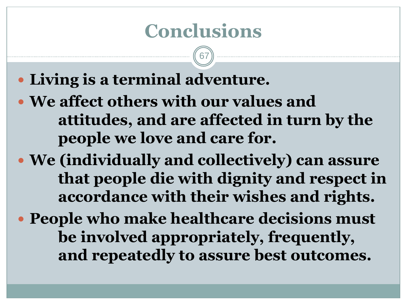## **Conclusions**

- **Living is a terminal adventure.**
- **We affect others with our values and attitudes, and are affected in turn by the people we love and care for.**
- **We (individually and collectively) can assure that people die with dignity and respect in accordance with their wishes and rights.**
- **People who make healthcare decisions must be involved appropriately, frequently, and repeatedly to assure best outcomes.**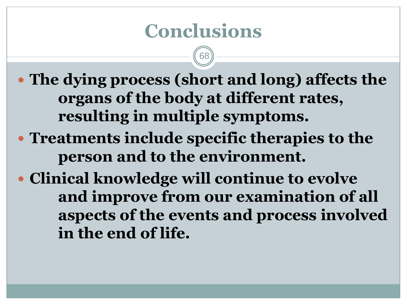## **Conclusions**

68

 **The dying process (short and long) affects the organs of the body at different rates, resulting in multiple symptoms.**

 **Treatments include specific therapies to the person and to the environment.**

 **Clinical knowledge will continue to evolve and improve from our examination of all aspects of the events and process involved in the end of life.**